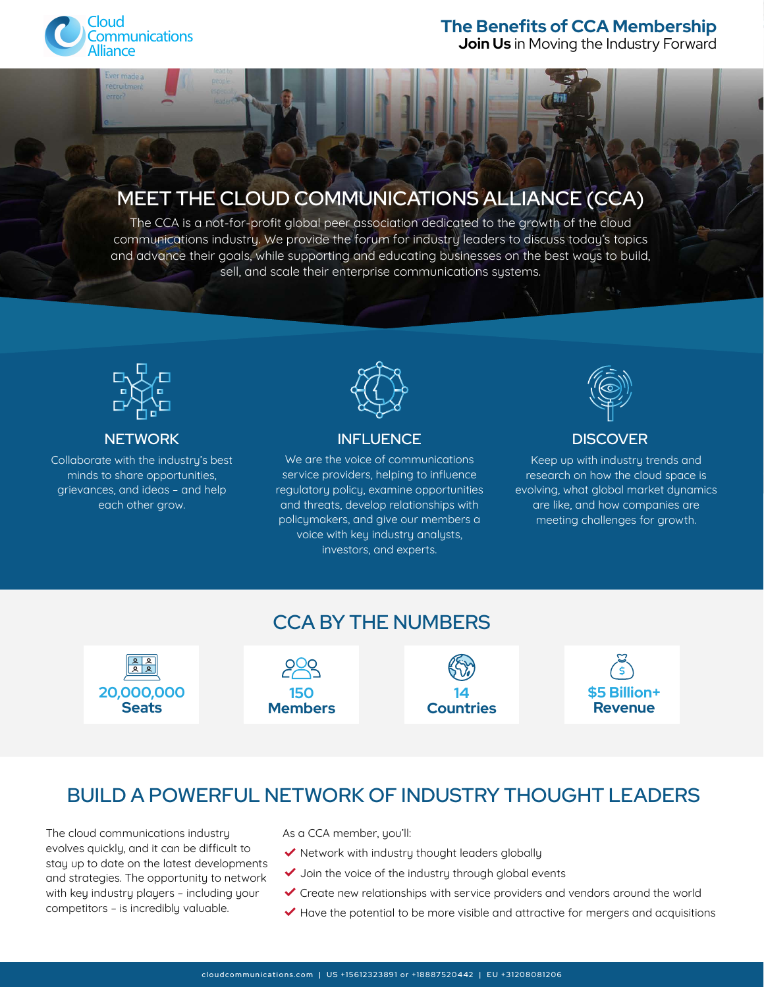

made.

### **The Benefits of CCA Membership**

**[Join Us](https://www.cloudcommunications.com/become-a-member/)** in Moving the Industry Forward

# MEET THE CLOUD COMMUNICATIONS ALLIANCE (CCA)

The CCA is a not-for-profit global peer association dedicated to the growth of the cloud communications industry. We provide the forum for industry leaders to discuss today's topics and advance their goals, while supporting and educating businesses on the best ways to build, sell, and scale their enterprise communications systems.



#### **NETWORK**

Collaborate with the industry's best minds to share opportunities, grievances, and ideas – and help each other grow.



#### INFLUENCE

We are the voice of communications service providers, helping to influence regulatory policy, examine opportunities and threats, develop relationships with policymakers, and give our members a voice with key industry analysts, investors, and experts.



#### **DISCOVER**

Keep up with industry trends and research on how the cloud space is evolving, what global market dynamics are like, and how companies are meeting challenges for growth.



## BUILD A POWERFUL NETWORK OF INDUSTRY THOUGHT LEADERS

The cloud communications industry evolves quickly, and it can be difficult to stay up to date on the latest developments and strategies. The opportunity to network with key industry players – including your competitors – is incredibly valuable.

As a CCA member, you'll:

- $\blacktriangleright$  Network with industry thought leaders globally
- $\checkmark$  Join the voice of the industry through global events
- Create new relationships with service providers and vendors around the world
- $\blacktriangledown$  Have the potential to be more visible and attractive for mergers and acquisitions